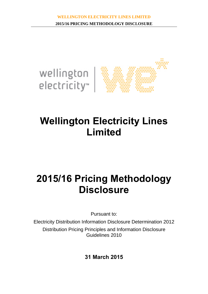

# **Wellington Electricity Lines Limited**

# **2015/16 Pricing Methodology Disclosure**

Pursuant to:

Electricity Distribution Information Disclosure Determination 2012 Distribution Pricing Principles and Information Disclosure Guidelines 2010

**31 March 2015**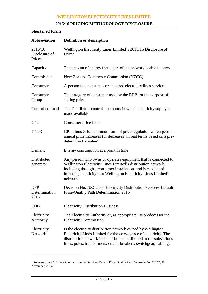# **2015/16 PRICING METHODOLOGY DISCLOSURE**

# **Shortened forms**

| <b>Abbreviation</b>                 | <b>Definition or description</b>                                                                                                                                                                                                                                               |
|-------------------------------------|--------------------------------------------------------------------------------------------------------------------------------------------------------------------------------------------------------------------------------------------------------------------------------|
| 2015/16<br>Disclosure of<br>Prices  | Wellington Electricity Lines Limited's 2015/16 Disclosure of<br>Prices                                                                                                                                                                                                         |
| Capacity                            | The amount of energy that a part of the network is able to carry                                                                                                                                                                                                               |
| Commission                          | New Zealand Commerce Commission (NZCC)                                                                                                                                                                                                                                         |
| Consumer                            | A person that consumes or acquired electricity lines services                                                                                                                                                                                                                  |
| Consumer<br>Group                   | The category of consumer used by the EDB for the purpose of<br>setting prices                                                                                                                                                                                                  |
| <b>Controlled Load</b>              | The Distributor controls the hours in which electricity supply is<br>made available                                                                                                                                                                                            |
| <b>CPI</b>                          | <b>Consumer Price Index</b>                                                                                                                                                                                                                                                    |
| CPI-X                               | CPI minus $X$ is a common form of price regulation which permits<br>annual price increases (or decreases) in real terms based on a pre-<br>determined $X$ value <sup>1</sup>                                                                                                   |
| Demand                              | Energy consumption at a point in time                                                                                                                                                                                                                                          |
| Distributed<br>generator            | Any person who owns or operates equipment that is connected to<br>Wellington Electricity Lines Limited's distribution network,<br>including through a consumer installation, and is capable of<br>injecting electricity into Wellington Electricity Lines Limited's<br>network |
| <b>DPP</b><br>Determination<br>2015 | Decision No. NZCC 33, Electricity Distribution Services Default<br>Price-Quality Path Determination 2015                                                                                                                                                                       |
| <b>EDB</b>                          | <b>Electricity Distribution Business</b>                                                                                                                                                                                                                                       |
| Electricity<br>Authority            | The Electricity Authority or, as appropriate, its predecessor the<br><b>Electricity Commission</b>                                                                                                                                                                             |
| Electricity<br><b>Network</b>       | Is the electricity distribution network owned by Wellington<br>Electricity Lines Limited for the conveyance of electricity. The<br>distribution network includes but is not limited to the substations,<br>lines, poles, transformers, circuit breakers, switchgear, cabling,  |

<sup>&</sup>lt;sup>1</sup> Refer section 8.2, "Electricity Distribution Services Default Price-Quality Path Determination 2015", 28 November, 2014.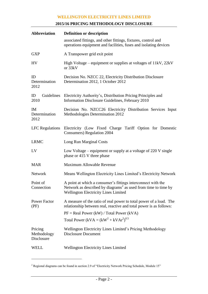# **2015/16 PRICING METHODOLOGY DISCLOSURE**

| <b>Abbreviation</b>                  | <b>Definition or description</b>                                                                                                                                                                                                     |
|--------------------------------------|--------------------------------------------------------------------------------------------------------------------------------------------------------------------------------------------------------------------------------------|
|                                      | associated fittings, and other fittings, fixtures, control and<br>operations equipment and facilities, fuses and isolating devices                                                                                                   |
| <b>GXP</b>                           | A Transpower grid exit point                                                                                                                                                                                                         |
| <b>HV</b>                            | High Voltage – equipment or supplies at voltages of 11kV, 22kV<br>or 33kV                                                                                                                                                            |
| ID<br>Determination<br>2012          | Decision No. NZCC 22, Electricity Distribution Disclosure<br>Determination 2012, 1 October 2012                                                                                                                                      |
| ID<br>2010                           | Guidelines Electricity Authority's, Distribution Pricing Principles and<br>Information Disclosure Guidelines, February 2010                                                                                                          |
| <b>IM</b><br>Determination<br>2012   | Decision No. NZCC26 Electricity Distribution Services Input<br>Methodologies Determination 2012                                                                                                                                      |
|                                      | LFC Regulations Electricity (Low Fixed Charge Tariff Option for Domestic<br><b>Consumers</b> ) Regulation 2004                                                                                                                       |
| <b>LRMC</b>                          | Long Run Marginal Costs                                                                                                                                                                                                              |
| LV                                   | Low Voltage – equipment or supply at a voltage of $220$ V single<br>phase or 415 V three phase                                                                                                                                       |
| <b>MAR</b>                           | Maximum Allowable Revenue                                                                                                                                                                                                            |
| <b>Network</b>                       | Means Wellington Electricity Lines Limited's Electricity Network                                                                                                                                                                     |
| Point of<br>Connection               | A point at which a consumer's fittings interconnect with the<br>Network as described by diagrams <sup>2</sup> as used from time to time by<br><b>Wellington Electricity Lines Limited</b>                                            |
| <b>Power Factor</b><br>(PF)          | A measure of the ratio of real power to total power of a load. The<br>relationship between real, reactive and total power is as follows:<br>$PF = Real Power (kW) / Total Power (kVA)$<br>Total Power (kVA = $(kW^2 + kVAr^2)^{0.5}$ |
| Pricing<br>Methodology<br>Disclosure | Wellington Electricity Lines Limited's Pricing Methodology<br><b>Disclosure Document</b>                                                                                                                                             |
| <b>WELL</b>                          | <b>Wellington Electricity Lines Limited</b>                                                                                                                                                                                          |

<sup>&</sup>lt;sup>2</sup> Regional diagrams can be found in section 2.9 of "Electricity Network Pricing Schedule, Module 15"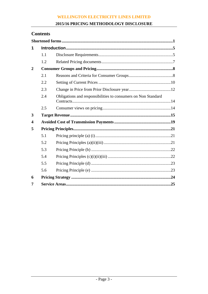# 2015/16 PRICING METHODOLOGY DISCLOSURE

# **Contents**

| 1                       |     |                                                               |
|-------------------------|-----|---------------------------------------------------------------|
|                         | 1.1 |                                                               |
|                         | 1.2 |                                                               |
| $\mathbf{2}$            |     |                                                               |
|                         | 2.1 |                                                               |
|                         | 2.2 |                                                               |
|                         | 2.3 |                                                               |
|                         | 2.4 | Obligations and responsibilities to consumers on Non Standard |
|                         | 2.5 |                                                               |
| 3                       |     |                                                               |
| $\overline{\mathbf{4}}$ |     |                                                               |
| 5                       |     |                                                               |
|                         | 5.1 |                                                               |
|                         | 5.2 |                                                               |
|                         | 5.3 |                                                               |
|                         | 5.4 |                                                               |
|                         | 5.5 |                                                               |
|                         | 5.6 |                                                               |
| 6                       |     |                                                               |
| 7                       |     |                                                               |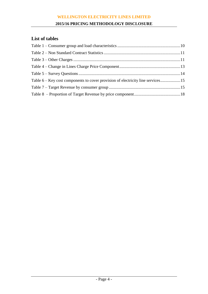# **2015/16 PRICING METHODOLOGY DISCLOSURE**

# **List of tables**

| Table 6 – Key cost components to cover provision of electricity line services15 |  |
|---------------------------------------------------------------------------------|--|
|                                                                                 |  |
|                                                                                 |  |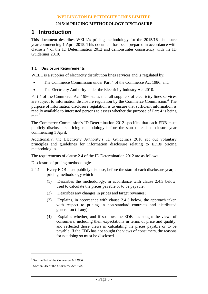# **1 Introduction**

This document describes WELL's pricing methodology for the 2015/16 disclosure year commencing 1 April 2015. This document has been prepared in accordance with clause 2.4 of the ID Determination 2012 and demonstrates consistency with the ID Guidelines 2010.

# **1.1 Disclosure Requirements**

WELL is a supplier of electricity distribution lines services and is regulated by:

- The Commerce Commission under Part 4 of the Commerce Act 1986; and
- The Electricity Authority under the Electricity Industry Act 2010.

Part 4 of the Commerce Act 1986 states that all suppliers of electricity lines services are subject to information disclosure regulation by the Commerce Commission.<sup>3</sup> The purpose of information disclosure regulation is to ensure that sufficient information is readily available to interested persons to assess whether the purpose of Part 4 is being met.<sup>4</sup>

The Commerce Commission's ID Determination 2012 specifies that each EDB must publicly disclose its pricing methodology before the start of each disclosure year commencing 1 April.

Additionally, the Electricity Authority's ID Guidelines 2010 set out voluntary principles and guidelines for information disclosure relating to EDBs pricing methodologies.

The requirements of clause 2.4 of the ID Determination 2012 are as follows:

Disclosure of pricing methodologies

- 2.4.1 Every EDB must publicly disclose, before the start of each disclosure year, a pricing methodology which-
	- (1) Describes the methodology, in accordance with clause 2.4.3 below, used to calculate the prices payable or to be payable;
	- (2) Describes any changes in prices and target revenues;
	- (3) Explains, in accordance with clause 2.4.5 below, the approach taken with respect to pricing in non-standard contracts and distributed generation (if any);
	- (4) Explains whether, and if so how, the EDB has sought the views of consumers, including their expectations in terms of price and quality, and reflected those views in calculating the prices payable or to be payable. If the EDB has not sought the views of consumers, the reasons for not doing so must be disclosed.

<sup>3</sup> Section 54F of the *Commerce Act 1986*

<sup>4</sup> Section53A of the *Commerce Act 1986*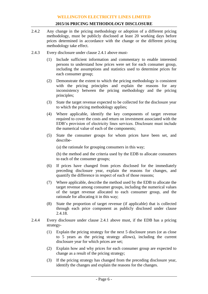- 2.4.2 Any change in the pricing methodology or adoption of a different pricing methodology, must be publicly disclosed at least 20 working days before prices determined in accordance with the change or the different pricing methodology take effect.
- 2.4.3 Every disclosure under clause 2.4.1 above must-
	- Include sufficient information and commentary to enable interested persons to understand how prices were set for each consumer group, including the assumptions and statistics used to determine prices for each consumer group;
	- (2) Demonstrate the extent to which the pricing methodology is consistent with the pricing principles and explain the reasons for any inconsistency between the pricing methodology and the pricing principles;
	- (3) State the target revenue expected to be collected for the disclosure year to which the pricing methodology applies;
	- (4) Where applicable, identify the key components of target revenue required to cover the costs and return on investment associated with the EDB's provision of electricity lines services. Disclosure must include the numerical value of each of the components;
	- (5) State the consumer groups for whom prices have been set, and describe-

(a) the rationale for grouping consumers in this way;

(b) the method and the criteria used by the EDB to allocate consumers to each of the consumer groups;

- (6) If prices have changed from prices disclosed for the immediately preceding disclosure year, explain the reasons for changes, and quantify the difference in respect of each of those reasons;
- (7) Where applicable, describe the method used by the EDB to allocate the target revenue among consumer groups, including the numerical values of the target revenue allocated to each consumer group, and the rationale for allocating it in this way;
- (8) State the proportion of target revenue (if applicable) that is collected through each price component as publicly disclosed under clause 2.4.18.
- 2.4.4 Every disclosure under clause 2.4.1 above must, if the EDB has a pricing strategy-
	- (1) Explain the pricing strategy for the next 5 disclosure years (or as close to 5 years as the pricing strategy allows), including the current disclosure year for which prices are set;
	- (2) Explain how and why prices for each consumer group are expected to change as a result of the pricing strategy;
	- (3) If the pricing strategy has changed from the preceding disclosure year, identify the changes and explain the reasons for the changes.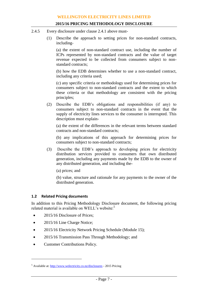- 2.4.5 Every disclosure under clause 2.4.1 above must-
	- (1) Describe the approach to setting prices for non-standard contracts, including-

(a) the extent of non-standard contract use, including the number of ICPs represented by non-standard contracts and the value of target revenue expected to be collected from consumers subject to nonstandard contracts;

(b) how the EDB determines whether to use a non-standard contract, including any criteria used;

(c) any specific criteria or methodology used for determining prices for consumers subject to non-standard contracts and the extent to which these criteria or that methodology are consistent with the pricing principles;

(2) Describe the EDB's obligations and responsibilities (if any) to consumers subject to non-standard contracts in the event that the supply of electricity lines services to the consumer is interrupted. This description must explain-

(a) the extent of the differences in the relevant terms between standard contracts and non-standard contracts;

(b) any implications of this approach for determining prices for consumers subject to non-standard contracts;

(3) Describe the EDB's approach to developing prices for electricity distribution services provided to consumers that own distributed generation, including any payments made by the EDB to the owner of any distributed generation, and including the-

(a) prices; and

(b) value, structure and rationale for any payments to the owner of the distributed generation.

# **1.2 Related Pricing documents**

In addition to this Pricing Methodology Disclosure document, the following pricing related material is available on WELL's website:<sup>5</sup>

- 2015/16 Disclosure of Prices;
- 2015/16 Line Charge Notice;
- 2015/16 Electricity Network Pricing Schedule (Module 15);
- 2015/16 Transmission Pass Through Methodology; and
- Customer Contributions Policy.

<sup>5</sup> Available at: <http://www.welectricity.co.nz/disclosures> - 2015 Pricing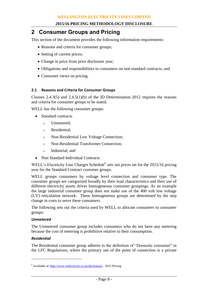# **2 Consumer Groups and Pricing**

This section of the document provides the following information requirements:

- Reasons and criteria for consumer groups;
- Setting of current prices;
- Change in price from prior disclosure year;
- Obligations and responsibilities to consumers on non standard contracts; and
- Consumer views on pricing.

# <span id="page-8-0"></span>**2.1 Reasons and Criteria for Consumer Groups**

Clauses 2.4.3(5) and 2.4.5(1)(b) of the ID Determination 2012 requires the reasons and criteria for consumer groups to be stated.

WELL has the following consumer groups:

- Standard contracts
	- o Unmetered;
	- o Residential;
	- o Non-Residential Low Voltage Connection;
	- o Non-Residential Transformer Connection;
	- o Industrial; and
- Non Standard Individual Contracts

WELL's Electricity Line Charges Schedule<sup>6</sup> sets out prices set for the 2015/16 pricing year for the Standard Contract customer groups.

WELL groups consumers by voltage level connection and consumer type. The consumer groups are categorised broadly by their load characteristics and their use of different electricity assets drives homogeneous consumer groupings. As an example the large industrial consumer group does not make use of the 400 volt low voltage (LV) reticulation network. These homogeneous groups are determined by the step change in costs to serve these consumers.

The following sets out the criteria used by WELL to allocate consumers to consumer groups:

#### *Unmetered*

The Unmetered consumer group includes consumers who do not have any metering because the cost of metering is prohibitive relative to their consumption.

#### *Residential*

 $\overline{a}$ 

The Residential consumer group adheres to the definition of "Domestic consumer" in the LFC Regulations, where the primary use of the point of connection is a private

<sup>6</sup> Available at[: http://www.welectricity.co.nz/disclosures](http://www.welectricity.co.nz/disclosures) - 2015 Pricing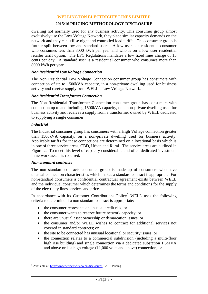# **2015/16 PRICING METHODOLOGY DISCLOSURE**

dwelling not normally used for any business activity. This consumer group almost exclusively use the Low Voltage Network, they place similar capacity demands on the network and they can utilise night and controlled load tariffs. This consumer group is further split between low and standard users. A low user is a residential consumer who consumes less than 8000 kWh per year and who is on a low user residential retailer tariff option. The LFC Regulations mandates a low fixed lines charge of 15 cents per day. A standard user is a residential consumer who consumes more than 8000 kWh per year.

## *Non Residential Low Voltage Connection*

The Non Residential Low Voltage Connection consumer group has consumers with connection of up to 1500kVA capacity, in a non-private dwelling used for business activity and receive supply from WELL's Low Voltage Network.

#### *Non Residential Transformer Connection*

The Non Residential Transformer Connection consumer group has consumers with connection up to and including 1500kVA capacity, on a non-private dwelling used for business activity and receives a supply from a transformer owned by WELL dedicated to supplying a single consumer.

## *Industrial*

 $\overline{a}$ 

The Industrial consumer group has consumers with a High Voltage connection greater than 1500kVA capacity, on a non-private dwelling used for business activity. Applicable tariffs for these connections are determined on a locational basis which is in one of three service areas, CBD, Urban and Rural. The service areas are outlined in Figure 2. To meet this level of capacity considerable and often dedicated investment in network assets is required.

#### *Non standard contracts*

The non standard contracts consumer group is made up of consumers who have unusual connection characteristics which makes a standard contract inappropriate. For non-standard consumers a confidential contractual agreement exists between WELL and the individual consumer which determines the terms and conditions for the supply of the electricity lines services and price.

In accordance with its Customer Contributions  $Policy<sup>7</sup>$  WELL uses the following criteria to determine if a non standard contract is appropriate:

- the consumer represents an unusual credit risk; or
- the consumer wants to reserve future network capacity; or
- there are unusual asset ownership or demarcation issues; or
- the consumer and/or WELL wishes to contract for additional services not covered in standard contracts; or
- the site to be connected has unusual locational or security issues; or
- the connection relates to a commercial subdivision (including a multi-floor high rise building) and single connection via a dedicated substation 1.5MVA and above or is a high voltage (11,000 volts and above) connection; or

<sup>7</sup> Available at[: http://www.welectricity.co.nz/disclosures](http://www.welectricity.co.nz/disclosures) - 2015 Pricing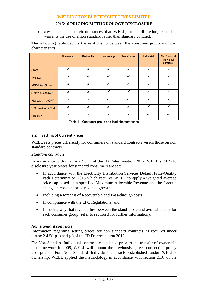any other unusual circumstances that WELL, at its discretion, considers warrants the use of a non standard rather than standard contract.

The following table depicts the relationship between the consumer group and load characteristics.

|                         | <b>Unmetered</b>          | <b>Residential</b>        | <b>Low Voltage</b>        | <b>Transformer</b>        | <b>Industrial</b> | <b>Non Standard</b><br>individual<br>contracts |
|-------------------------|---------------------------|---------------------------|---------------------------|---------------------------|-------------------|------------------------------------------------|
| $<$ 1 $kVA$             | ✓                         | $\mathbf x$               | $\mathbf x$               | $\mathbf x$               | $\mathbf x$       | $\boldsymbol{\mathsf{x}}$                      |
| $\leq$ 15kVA            | $\boldsymbol{\mathsf{x}}$ | ✓                         | ✓                         | ✓                         | $\pmb{\times}$    | $\pmb{\times}$                                 |
| $>15kVA$ & $\leq$ 69kVA | $\boldsymbol{\mathsf{x}}$ | $\boldsymbol{\mathsf{x}}$ | ✓                         | ✓                         | $\pmb{\times}$    | $\pmb{\times}$                                 |
| >69kVA & <=138kVA       | $\mathbf x$               | $\boldsymbol{\mathsf{x}}$ | ✓                         | ✓                         | $\mathbf x$       | $\pmb{\times}$                                 |
| >138kVA & <= 300kVA     | $\boldsymbol{\mathsf{x}}$ | $\boldsymbol{\mathsf{x}}$ | ✓                         | ✓                         | $\pmb{\times}$    | $\pmb{\times}$                                 |
| >300kVA & <=1500kVA     | $\boldsymbol{\mathsf{x}}$ | $\boldsymbol{\mathsf{x}}$ | $\boldsymbol{\mathsf{x}}$ | $\boldsymbol{\mathsf{x}}$ | ✓                 |                                                |
| >1500kVA                | $\boldsymbol{\mathsf{x}}$ | $\boldsymbol{\mathsf{x}}$ | $\boldsymbol{\mathsf{x}}$ | $\boldsymbol{\mathsf{x}}$ | ✓                 |                                                |

**Table 1 – Consumer group and load characteristics**

# **2.2 Setting of Current Prices**

WELL sets prices differently for consumers on standard contracts versus those on non standard contracts.

# *Standard contracts*

In accordance with Clause 2.4.3(1) of the ID Determination 2012, WELL's 2015/16 disclosure year prices for standard consumers are set:

- In accordance with the Electricity Distribution Services Default Price-Quality Path Determination 2015 which requires WELL to apply a weighted average price-cap based on a specified Maximum Allowable Revenue and the forecast change in constant price revenue growth;
- Including a forecast of Recoverable and Pass-through costs;
- In compliance with the LFC Regulations; and
- In such a way that revenue lies between the stand-alone and avoidable cost for each consumer group (refer to section [3](#page-15-0) for further information).

#### *Non standard contracts*

Information regarding setting prices for non standard contracts, is required under clause 2.4.5(1)(a) and (c) of the ID Determination 2012.

For Non Standard Individual contracts established prior to the transfer of ownership of the network in 2009, WELL will honour the previously agreed connection policy and price. For Non Standard Individual contracts established under WELL's ownership, WELL applied the methodology in accordance with section 2.1C of the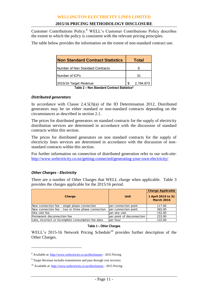Customer Contributions Policy.<sup>8</sup> WELL's Customer Contributions Policy describes the extent to which the policy is consistent with the relevant pricing principles.

The table below provides the information on the extent of non-standard contract use.

|    | Total                                     |
|----|-------------------------------------------|
|    |                                           |
| 31 |                                           |
| \$ | 2,794,873                                 |
|    | Toble 2 Non Standard Contract Statistics9 |

**Table 2 – Non Standard Contract Statistics<sup>9</sup>**

#### *Distributed generators*

In accordance with Clause 2.4.5(3)(a) of the ID Determination 2012, Distributed generators may be on either standard or non-standard contracts depending on the circumstances as described in section [2.1.](#page-8-0)

The prices for distributed generators on standard contracts for the supply of electricity distribution services are determined in accordance with the discussion of standard contracts within this section.

The prices for distributed generators on non standard contracts for the supply of electricity lines services are determined in accordance with the discussion of nonstandard contracts within this section.

For further information on connection of distributed generation refer to our web-site: <http://www.welectricity.co.nz/getting-connected/generating-your-own-electricity/>

# *Other Charges - Electricity*

 $\overline{a}$ 

There are a number of Other Charges that WELL charge when applicable. Table 3 provides the charges applicable for the 2015/16 period.

| Charge                                             | <b>Unit</b>                | <b>Charge Applicable</b><br>1 April 2015 to 31<br><b>March 2016</b> |
|----------------------------------------------------|----------------------------|---------------------------------------------------------------------|
| New connection fee - single phase connection       | per connection point       | 117.00                                                              |
| New connection fee - two or three phase connection | per connection point       | 365.00                                                              |
| Site visit fee                                     | per site visit             | 152.00                                                              |
| Permanent disconnection fee                        | per point of disconnection | 233.00                                                              |
| Late, incorrect or incomplete consumption fee data | per hour                   | 122.00                                                              |

#### **Table 3 – Other Charges**

WELL's 2015-16 Network Pricing Schedule<sup>10</sup> provides further description of the Other Charges.

<sup>8</sup> Available at[: http://www.welectricity.co.nz/disclosures](http://www.welectricity.co.nz/disclosures) - 2015 Pricing

<sup>&</sup>lt;sup>9</sup> Target Revenue includes transmission and pass through cost recovery

<sup>10</sup> Available at[: http://www.welectricity.co.nz/disclosures](http://www.welectricity.co.nz/disclosures) - 2015 Pricing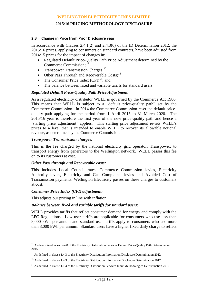#### **2.3 Change in Price from Prior Disclosure year**

In accordance with Clauses 2.4.1(2) and 2.4.3(6) of the ID Determination 2012, the 2015/16 prices, applying to consumers on standard contracts, have been adjusted from 2014/15 prices for the impact of changes in:

- Regulated Default Price-Quality Path Price Adjustment determined by the Commerce Commission; 11
- Transpower Transmission Charges; $^{12}$
- Other Pass Through and Recoverable Costs;<sup>13</sup>
- The Consumer Price Index  $(CPI)^{14}$ ; and
- The balance between fixed and variable tariffs for standard users.

# *Regulated Default Price-Quality Path Price Adjustment:*

As a regulated electricity distributor WELL is governed by the Commerce Act 1986. This means that WELL is subject to a "default price-quality path" set by the Commerce Commission. In 2014 the Commerce Commission reset the default pricequality path applying for the period from 1 April 2015 to 31 March 2020. The 2015/16 year is therefore the first year of the new price-quality path and hence a 'starting price adjustment' applies. This starting price adjustment re-sets WELL's prices to a level that is intended to enable WELL to recover its allowable notional revenue, as determined by the Commerce Commission.

# *Transpower Transmission charges:*

This is the fee charged by the national electricity grid operator, Transpower, to transport energy from generators to the Wellington network. WELL passes this fee on to its customers at cost.

## *Other Pass through and Recoverable costs:*

This includes Local Council rates, Commerce Commission levies, Electricity Authority levies, Electricity and Gas Complaints levies and Avoided Cost of Transmission payments. Wellington Electricity passes on these charges to customers at cost.

#### *Consumer Price Index (CPI) adjustment:*

 $\overline{a}$ 

This adjusts our pricing in line with inflation.

#### *Balance between fixed and variable tariffs for standard users:*

WELL provides tariffs that reflect consumer demand for energy and comply with the LFC Regulations. Low user tariffs are applicable for consumers who use less than 8,000 kWh per annum and standard user tariffs apply to consumers who use more than 8,000 kWh per annum. Standard users have a higher fixed daily charge to reflect

<sup>&</sup>lt;sup>11</sup> As determined in section 8 of the Electricity Distribution Services Default Price-Quality Path Determination 2015

<sup>&</sup>lt;sup>12</sup> As defined in clause 1.4.3 of the Electricity Distribution Information Disclosure Determination 2012

<sup>&</sup>lt;sup>13</sup> As defined in clause 1.4.3 of the Electricity Distribution Information Disclosure Determination 2012

<sup>&</sup>lt;sup>14</sup> As defined in clause 1.1.4 of the Electricity Distribution Services Input Methodologies Determination 2012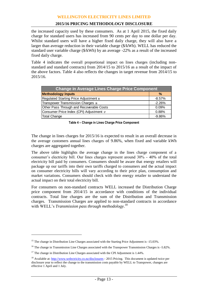# **2015/16 PRICING METHODOLOGY DISCLOSURE**

the increased capacity used by these consumers. As at 1 April 2015, the fixed daily charge for standard users has increased from 90 cents per day to one dollar per day. Whilst standard users will have a higher fixed daily charge, they will also have a larger than average reduction in their variable charge (\$/kWh). WELL has reduced the standard user variable charge (\$/kWh) by an average -22% as a result of the increased fixed daily charge.

[Table 4](#page-13-0) indicates the overall proportional impact on lines charges (including nonstandard and standard contracts) from 2014/15 to 2015/16 as a result of the impact of the above factors. [Table 4](#page-13-0) also reflects the changes in target revenue from 2014/15 to 2015/16.

| <b>Change in Average Lines Charge Price Component</b> |          |
|-------------------------------------------------------|----------|
| <b>Methodology Inputs</b>                             | $\%$     |
| Regulated Starting Price Adjustment 15                | $-8.57%$ |
| Transpower Transmission Charges 16                    | $-2.26%$ |
| Other Pass Through and Recoverable Costs              | 0.09%    |
| Consumer Price Index (CPI) Adjustment $\pi$           | 0.88%    |
| Total Change                                          | $-9.86%$ |

**Table 4 – Change in Lines Charge Price Component**

<span id="page-13-0"></span>The change in lines charges for 2015/16 is expected to result in an overall decrease in the average customers annual lines charges of 9.86%, when fixed and variable kWh charges are aggregated together.

The above table highlights the average change in the lines charge component of a consumer's electricity bill. Our lines charges represent around 30% - 40% of the total electricity bill paid by consumers. Consumers should be aware that energy retailers will package up our tariffs into their own tariffs charged to consumers and the actual impact on consumer electricity bills will vary according to their price plan, consumption and market variations. Consumers should check with their energy retailer to understand the actual impact on their total electricity bill.

For consumers on non-standard contracts WELL increased the Distribution Charge price component from 2014/15 in accordance with conditions of the individual contracts. Total line charges are the sum of the Distribution and Transmission charges. Transmission Charges are applied to non-standard contracts in accordance with WELL's *Transmission pass through methodology*. 18

<sup>&</sup>lt;sup>15</sup> The change in Distribution Line Charges associated with the Starting Price Adjustment is -15.03%.

<sup>&</sup>lt;sup>16</sup> The change in Transmission Line Charges associated with the Transpower Transmission Charges is -5.82%.

 $17$  The change in Distribution Line Charges associated with the CPI Adjustment is 1.44%.

<sup>&</sup>lt;sup>18</sup> Available at[: http://www.welectricity.co.nz/disclosures](http://www.welectricity.co.nz/disclosures) - 2015 Pricing. This document is updated twice per disclosure year to reflect the change to the transmission costs payable by WELL to Transpower, changes are effective 1 April and 1 July.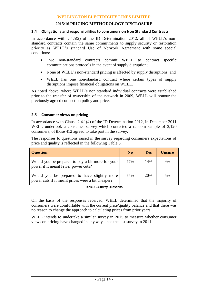#### **2.4 Obligations and responsibilities to consumers on Non Standard Contracts**

In accordance with 2.4.5(2) of the ID Determination 2012, all of WELL's nonstandard contracts contain the same commitments to supply security or restoration priority as WELL's standard Use of Network Agreement with some special conditions:

- Two non-standard contracts commit WELL to contract specific communications protocols in the event of supply disruption;
- None of WELL's non-standard pricing is affected by supply disruptions; and
- WELL has one non-standard contract where certain types of supply disruptions impose financial obligations on WELL.

As noted above, where WELL's non standard individual contracts were established prior to the transfer of ownership of the network in 2009, WELL will honour the previously agreed connection policy and price.

# **2.5 Consumer views on pricing**

In accordance with Clause 2.4.1(4) of the ID Determination 2012, in December 2011 WELL undertook a consumer survey which contacted a random sample of 3,120 consumers; of those 412 agreed to take part in the survey.

The responses to questions raised in the survey regarding consumers expectations of price and quality is reflected in the following [Table 5.](#page-14-0)

| <b>Question</b>                                                                                  | N <sub>o</sub> | <b>Yes</b> | <b>Unsure</b> |
|--------------------------------------------------------------------------------------------------|----------------|------------|---------------|
| Would you be prepared to pay a bit more for your<br>power if it meant fewer power cuts?          | 77%            | 14%        | 9%            |
| Would you be prepared to have slightly more<br>power cuts if it meant prices were a bit cheaper? | 75%            | 20%        | 5%            |

**Table 5 – Survey Questions**

<span id="page-14-0"></span>On the basis of the responses received, WELL determined that the majority of consumers were comfortable with the current price/quality balance and that there was no reason to change the approach to calculating prices from prior years.

WELL intends to undertake a similar survey in 2015 to measure whether consumer views on pricing have changed in any way since the last survey in 2011.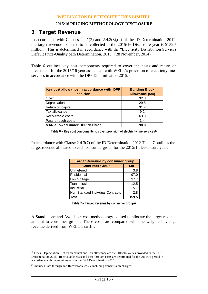# <span id="page-15-0"></span>**3 Target Revenue**

In accordance with Clauses 2.4.1(2) and 2.4.3(3),(4) of the ID Determination 2012, the target revenue expected to be collected in the 2015/16 Disclosure year is \$159.5 million. This is determined in accordance with the "Electricity Distribution Services Default Price-Quality path Determination, 2015" (28 November, 2014).

[Table 6](#page-15-1) outlines key cost components required to cover the costs and return on investment for the 2015/16 year associated with WELL's provision of electricity lines services in accordance with the DPP Determination 2015.

| Key cost allowance in accordance with DPP<br>decision | <b>Building Block</b><br>Allowance (\$m) |
|-------------------------------------------------------|------------------------------------------|
| Opex                                                  | 32.0                                     |
| Depreciation                                          | 29.8                                     |
| Return on capital                                     | 31.7                                     |
| Tax allowance                                         | 9.2                                      |
| Recoverable costs                                     | 63.0                                     |
| Pass-through costs                                    | 3.4                                      |
| <b>MAR allowed under DPP decision</b>                 | 98.8                                     |

**Table 6 – Key cost components to cover provision of electricity line services<sup>19</sup>**

<span id="page-15-1"></span>In accordance with Clause 2.4.3(7) of the ID Determination 2012 [Table 7](#page-15-2) outlines the target revenue allocated to each consumer group for the 2015/16 Disclosure year.

| <b>Target Revenue by consumer group</b> |       |  |  |  |  |  |
|-----------------------------------------|-------|--|--|--|--|--|
| <b>Consumer Group</b>                   | \$m   |  |  |  |  |  |
| Unmetered                               | 3.8   |  |  |  |  |  |
| Residential                             | 97.0  |  |  |  |  |  |
| Low Voltage                             | 37.7  |  |  |  |  |  |
| Transmission                            | 12.5  |  |  |  |  |  |
| Industrial                              | 5.7   |  |  |  |  |  |
| Non Standard Individual Contracts       | 2.8   |  |  |  |  |  |
| Total                                   | 159.5 |  |  |  |  |  |

**Table 7 – Target Revenue by consumer group<sup>20</sup>**

<span id="page-15-2"></span>A Stand-alone and Avoidable cost methodology is used to allocate the target revenue amount to consumer groups. These costs are compared with the weighted average revenue derived from WELL's tariffs.

<sup>&</sup>lt;sup>19</sup> Opex, Depreciation, Return on capital and Tax allowance are the 2015/16 values provided in the DPP Determination 2015. Recoverable costs and Pass-through costs are determined for the 2015/16 period in accordance with the requirements in the DPP Determination 2015.

 $20$  Includes Pass through and Recoverable costs, including transmission charges.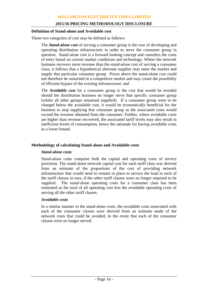#### **Definition of Stand-alone and Avoidable cost**

These two categories of cost may be defined as follows:

The *Stand-alone cost* of serving a consumer group is the cost of developing and operating distribution infrastructure in order to serve the consumer group in question. Stand-alone cost is a forward looking concept and considers the costs of entry based on current market conditions and technology. Where the network business recovers more revenue than the stand-alone cost of serving a consumer class, it follows that a hypothetical alternate supplier may enter the market and supply that particular consumer group. Prices above the stand-alone cost could not therefore be sustained in a competitive market and may create the possibility of efficient bypass of the existing infrastructure; and

The *Avoidable cost* for a consumer group is the cost that would be avoided should the distribution business no longer serve that specific consumer group (whilst all other groups remained supplied). If a consumer group were to be charged below the avoidable cost, it would be economically beneficial for the business to stop supplying that consumer group as the associated costs would exceed the revenue obtained from the consumer. Further, where avoidable costs are higher than revenue recovered, the associated tariff levels may also result in inefficient levels of consumption, hence the rationale for having avoidable costs as a lower bound.

#### **Methodology of calculating Stand-alone and Avoidable costs**

#### *Stand-alone costs*

Stand-alone costs comprise both the capital and operating costs of service provision. The stand-alone network capital cost for each tariff class was derived from an estimate of the proportions of the cost of providing network infrastructure that would need to remain in place to service the load in each of the tariff classes in turn, if the other tariff classes were no longer required to be supplied. The stand-alone operating costs for a consumer class has been estimated as the total of all operating cost less the avoidable operating costs of serving all the other tariff classes.

#### *Avoidable costs*

In a similar manner to the stand-alone costs, the avoidable costs associated with each of the consumer classes were derived from an estimate made of the network costs that could be avoided, in the event that each of the consumer classes were no longer served.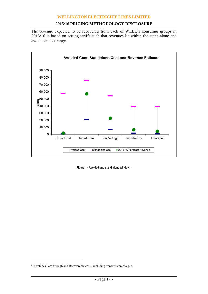# **2015/16 PRICING METHODOLOGY DISCLOSURE**

The revenue expected to be recovered from each of WELL's consumer groups in 2015/16 is based on setting tariffs such that revenues lie within the stand-alone and avoidable cost range.



**Figure 1 - Avoided and stand alone window<sup>21</sup>**

 $^{21}$  Excludes Pass through and Recoverable costs, including transmission charges.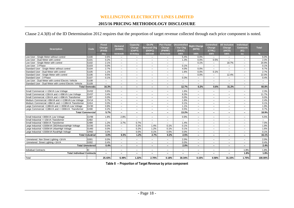# **2015/16 PRICING METHODOLOGY DISCLOSURE**

# Clause 2.4.3(8) of the ID Determination 2012 requires that the proportion of target revenue collected through each price component is noted.

|                                                          |                         | <b>Fixed</b>      | <b>Demand</b>            | Capacity                 | On-Pk                       | <b>Pwr Factor</b>        | Uncontrolled             | <b>Night Charge</b>      | <b>Controlled</b>        | <b>All Inclusive</b>     | <b>Individual</b>        |                   |
|----------------------------------------------------------|-------------------------|-------------------|--------------------------|--------------------------|-----------------------------|--------------------------|--------------------------|--------------------------|--------------------------|--------------------------|--------------------------|-------------------|
| <b>Description</b>                                       | Code                    | Charge<br>(FIXD)  | (DAMD)                   | Charge<br>(CAPY)         | <b>Demand Chg</b><br>(DOPC) | Charge<br>(PWRF)         | / Var Chq<br>(24UC)      | (NITE)                   | Charge<br>(CTRL)         | Charge<br>(AICO)         | <b>Contracts</b><br>(IC) | Total             |
|                                                          |                         | dav               | <b>kVA/mth</b>           | kVA/day                  | kW/mth                      | kVAr/mth                 | <b>kWh</b>               | kWh                      | <b>kWh</b>               | <b>kWh</b>               | ea                       | $\frac{9}{6}$     |
| Low User - Single Meter without control                  | G100                    | 0.6%              | $-$                      | $-$                      | $-$                         | $\qquad \qquad -$        | 5.4%                     | 0.0%                     | $\qquad \qquad -$        | $-$                      | $-$                      | 6.0%              |
| Low User - Dual Meter with control                       | G101                    | 0.2%              | $\overline{\phantom{a}}$ | $\overline{\phantom{a}}$ | $\overline{\phantom{m}}$    | $\overline{\phantom{m}}$ | 1.3%                     | 0.0%                     | 0.5%                     | $\overline{\phantom{a}}$ | $-$                      | 2.0%              |
| Low User - Single Meter with control                     | G102                    | 2.1%              | $\overline{\phantom{m}}$ | $\overline{\phantom{m}}$ | $-$                         | $\overline{\phantom{m}}$ |                          | 0.1%                     | $\overline{\phantom{0}}$ | 18.7%                    | $\overline{\phantom{m}}$ | 20.9%             |
| Low User - 3 Phase                                       | G103                    | 0.0%              | $-$                      | $\overline{\phantom{m}}$ | $\qquad \qquad -$           | $\qquad \qquad -$        | 0.1%                     | $-$                      | $\qquad \qquad -$        | $-$                      | $\overline{\phantom{m}}$ | 0.1%              |
| Standard User - Single Meter without control             | G104                    | 2.7%              | $\overline{\phantom{m}}$ | $\overline{\phantom{m}}$ | $\overline{\phantom{m}}$    | $\overline{\phantom{0}}$ | 4.0%                     | 0.0%                     | $\overline{\phantom{0}}$ | $\overline{\phantom{m}}$ | $\overline{\phantom{a}}$ | 6.7%              |
| Standard User - Dual Meter with control                  | G105                    | 1.1%              | $\overline{\phantom{a}}$ | $\overline{\phantom{a}}$ | $-$                         | $\overline{\phantom{0}}$ | 1.6%                     | 0.0%                     | 0.1%                     | $-$                      | $\overline{\phantom{m}}$ | 2.7%              |
| Standard User - Single Meter with control                | G106                    | 9.5%              | $\overline{\phantom{m}}$ | $\overline{\phantom{m}}$ | $\qquad \qquad -$           | $\qquad \qquad -$        | $\qquad \qquad -$        | 0.0%                     | $\qquad \qquad -$        | 12.4%                    | $\overline{\phantom{m}}$ | 22.0%             |
| Standard User - 3 Phase                                  | G107                    | 0.1%              | $\overline{\phantom{m}}$ | $\overline{\phantom{m}}$ | $\overline{\phantom{m}}$    | $-$                      | 0.3%                     | $\overline{\phantom{0}}$ | $\qquad \qquad -$        | $\overline{\phantom{m}}$ | $\overline{\phantom{a}}$ | 0.4%              |
| Low User - Dual Meter with control Electric Vehicle      | G108                    | $-$               | $\overline{\phantom{a}}$ | $\overline{\phantom{0}}$ | $-$                         | $\overline{\phantom{0}}$ | $\overline{\phantom{0}}$ | $\qquad \qquad -$        | $\qquad \qquad -$        | $-$                      | $\overline{\phantom{a}}$ | $\qquad \qquad -$ |
| Standard User - Dual Meter with control Electric Vehicle | G109                    | $-$               | $\overline{\phantom{m}}$ | $\overline{\phantom{m}}$ | $\qquad \qquad -$           | $\qquad \qquad -$        | $\overline{\phantom{0}}$ | $-$                      | $-$                      | $-$                      | $-$                      | $-$               |
|                                                          | <b>Total Domestic</b>   | 16.3%             | $\overline{\phantom{a}}$ | $\overline{\phantom{a}}$ | $\overline{\phantom{0}}$    | $\overline{\phantom{0}}$ | 12.7%                    | 0.2%                     | 0.6%                     | 31.2%                    | $\overline{\phantom{a}}$ | 60.8%             |
| Small Commercial <= 15kVA Low Voltage                    | GV02                    | 0.6%              | $\overline{\phantom{a}}$ | $\overline{\phantom{a}}$ | $\overline{\phantom{m}}$    | $\overline{\phantom{m}}$ | 1.6%                     | $\overline{\phantom{m}}$ | $\overline{\phantom{0}}$ | $\overline{\phantom{a}}$ | $\overline{\phantom{m}}$ | 2.3%              |
| Small Commercial >15kVA and <= 69kVA Low Voltage         | GV07                    | 3.4%              | $-$                      | $\overline{\phantom{0}}$ | $-$                         | $\overline{\phantom{0}}$ | 8.3%                     | $-$                      | $-$                      | $-$                      | $-$                      | 11.7%             |
| Small Commercial >15kVA and <= 69kVA Transformer         | GX07                    | 0.0%              | $-$                      | $\overline{\phantom{m}}$ | $\qquad \qquad -$           | $\qquad \qquad -$        | 0.0%                     | $-$                      | $\qquad \qquad -$        | $\overline{\phantom{a}}$ | $\overline{\phantom{m}}$ | 0.0%              |
| Medium Commercial >69kVA and <=138kVA Low Voltage        | <b>GV14</b>             | 0.7%              | $\overline{\phantom{m}}$ | $\overline{\phantom{m}}$ | $\overline{\phantom{m}}$    | $\overline{\phantom{0}}$ | 1.6%                     | $\overline{\phantom{0}}$ | $-$                      | $\overline{\phantom{0}}$ | $\overline{\phantom{m}}$ | 2.4%              |
| Medium Commercial >69kVA and <= 138kVA Transformer       | GX14                    | 0.0%              | $\overline{\phantom{0}}$ | $\overline{\phantom{m}}$ | $\overline{\phantom{m}}$    | $\qquad \qquad =$        | 0.1%                     | $\overline{\phantom{m}}$ | $\qquad \qquad -$        | $\overline{\phantom{m}}$ | $\overline{\phantom{0}}$ | 0.1%              |
| Large Commercial >138kVA and <= 300kVA Low Voltage       | GV30                    | 0.8%              | $-$                      | $\overline{\phantom{m}}$ | $\qquad \qquad -$           | $\qquad \qquad -$        | 1.1%                     | $-$                      | $\qquad \qquad -$        | $\overline{\phantom{a}}$ | $-$                      | 1.9%              |
| Large Commercial >138kVA and <= 300kVA Transformer       | GX30                    | 0.2%              | $\overline{\phantom{m}}$ | $\overline{\phantom{m}}$ | $\overline{\phantom{m}}$    | $\overline{\phantom{0}}$ | 0.5%                     | $\overline{\phantom{0}}$ | $\qquad \qquad -$        | $\overline{\phantom{m}}$ | $\overline{\phantom{a}}$ | 0.7%              |
| <b>Total Commercial</b>                                  |                         | 5.7%              | $\overline{\phantom{0}}$ | $\overline{\phantom{a}}$ | $\overline{\phantom{0}}$    | $\overline{\phantom{0}}$ | 13.2%                    | $\overline{\phantom{0}}$ | $\overline{\phantom{0}}$ | $\overline{\phantom{a}}$ | $\overline{\phantom{a}}$ | 18.9%             |
| Small Industrial >300kVA Low Voltage                     | GV99                    | 1.8%              | 2.8%                     | $\overline{\phantom{m}}$ | $\qquad \qquad -$           | $\qquad \qquad -$        | 0.9%                     | $\qquad \qquad -$        | -                        | $\overline{\phantom{m}}$ | $\overline{\phantom{m}}$ | 5.5%              |
| Small Industrial <= 15kVA Transformer                    | GX02                    | $\qquad \qquad -$ | $\overline{\phantom{m}}$ | $\overline{\phantom{m}}$ | $\overline{\phantom{m}}$    | $\qquad \qquad -$        | $\overline{\phantom{0}}$ | $\overline{\phantom{m}}$ | -                        | $\overline{\phantom{m}}$ | $\overline{\phantom{m}}$ | $-$               |
| Small Industrial >300kVA Transformer                     | GX99                    | 1.2%              | 3.7%                     | 0.7%                     | $-$                         | $\overline{\phantom{0}}$ | 1.4%                     | $\overline{\phantom{0}}$ | $\qquad \qquad -$        | $-$                      | $\overline{\phantom{m}}$ | 7.0%              |
| Large Industrial >1500kVA CBD/IndustrialHigh Voltage     | GC60                    | 0.0%              | $-$                      | 0.3%                     | 1.4%                        | 0.1%                     | 0.1%                     | $\overline{\phantom{0}}$ | $\overline{\phantom{0}}$ | $\overline{\phantom{m}}$ | $\overline{\phantom{m}}$ | 1.9%              |
| Large Industrial >1500kVA UrbanHigh Voltage              | GU <sub>60</sub>        | 0.0%              | $\overline{\phantom{m}}$ | 0.2%                     | 1.2%                        | 0.1%                     | 0.1%                     | $\overline{\phantom{m}}$ | -                        | $\overline{\phantom{0}}$ | $\overline{\phantom{m}}$ | 1.6%              |
| Large Industrial >1500kVA RuralHigh Voltage              | GR60                    | 0.0%              | $\overline{\phantom{m}}$ | 0.0%                     | 0.1%                        | 0.0%                     | 0.0%                     | $\equiv$                 | $\qquad \qquad =$        | $\overline{\phantom{a}}$ | $\overline{\phantom{0}}$ | 0.1%              |
|                                                          | <b>Total Industrial</b> | 3.0%              | 6.5%                     | 1.2%                     | 2.7%                        | 0.2%                     | 2.5%                     | -                        | -                        | $\overline{\phantom{0}}$ | $\overline{\phantom{0}}$ | 16.1%             |
| Unmetered Non Street Lighting <1kVA                      | G001                    | 0.0%              | $\overline{\phantom{m}}$ | $-$                      | $-$                         | $\qquad \qquad =$        | 2.0%                     | $\overline{\phantom{0}}$ | $-$                      | $\overline{\phantom{0}}$ | $\qquad \qquad =$        | 2.0%              |
| Unmetered Street Lighting <1kVA                          | G002                    | 0.4%              | $\overline{\phantom{0}}$ | $\overline{\phantom{0}}$ | $\overline{\phantom{m}}$    | $\qquad \qquad =$        | 0.0%                     | $\qquad \qquad =$        | $-$                      | $\overline{\phantom{0}}$ | $\overline{\phantom{0}}$ | 0.4%              |
|                                                          | <b>Total Unmetered</b>  | 0.4%              | $\overline{\phantom{0}}$ | $\overline{\phantom{0}}$ | $\overline{\phantom{a}}$    | $\overline{\phantom{0}}$ | 2.0%                     | $\overline{\phantom{0}}$ | $\overline{\phantom{0}}$ | $\overline{\phantom{0}}$ | $\overline{\phantom{0}}$ | 2.4%              |
|                                                          |                         |                   |                          |                          |                             |                          |                          |                          |                          |                          |                          |                   |
| <b>Individual Contracts</b>                              | IC                      | $\qquad \qquad -$ | $\overline{\phantom{a}}$ | $\overline{\phantom{a}}$ | $-$                         | $\overline{\phantom{m}}$ | $\overline{\phantom{0}}$ | $\overline{\phantom{0}}$ | $-$                      | $\overline{\phantom{a}}$ | 1.8%                     | 1.8%              |
| <b>Total Individual Contracts</b>                        |                         | $\blacksquare$    | $\overline{\phantom{0}}$ | $\overline{\phantom{0}}$ | $\overline{\phantom{a}}$    | $\overline{\phantom{0}}$ | $\overline{\phantom{0}}$ | $\overline{\phantom{0}}$ | Ξ.                       | $\overline{\phantom{0}}$ | 1.8%                     | 1.8%              |
| <b>Total</b>                                             |                         | 25.43%            | 6.49%                    | 1.22%                    | 2.70%                       | 0.18%                    | 30.34%                   | 0.15%                    | 0.58%                    | 31.15%                   | 1.75%                    | 100.00%           |

**Table 8 – Proportion of Target Revenue by price component**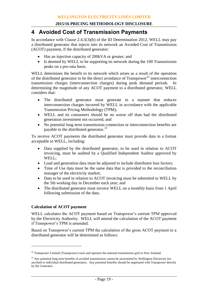# **4 Avoided Cost of Transmission Payments**

In accordance with Clause 2.4.5(3)(b) of the ID Determination 2012, WELL may pay a distributed generator that injects into its network an Avoided Cost of Transmission (ACOT) payment, if the distributed generator:

- Has an injection capacity of 200kVA or greater; and
- Is deemed by WELL to be supporting its network during the 100 Transmission peaks on a pro-rata basis.

WELL determines the benefit to its network which arises as a result of the operation of the distributed generator to be the direct avoidance of  $Transpower^{22}$  interconnection transmission charges (interconnection charges) during peak demand periods. In determining the magnitude of any ACOT payment to a distributed generator, WELL considers that:

- The distributed generator must generate in a manner that reduces interconnection charges incurred by WELL in accordance with the applicable Transmission Pricing Methodology (TPM);
- WELL and its consumers should be no worse off than had the distributed generation investment not occurred; and
- No potential long term transmission connection or interconnection benefits are payable to the distributed generator.<sup>23</sup>

To receive ACOT payments the distributed generator must provide data in a format acceptable to WELL, including:

- Data supplied by the distributed generator, to be used in relation to ACOT invoicing, must be audited by a Qualified Independent Auditor approved by WELL;
- Load and generation data must be adjusted to include distributor loss factors;
- Time of Use data must be the same data that is provided to the reconciliation manager of the electricity market;
- Data to be used in relation to ACOT invoicing must be submitted to WELL by the 5th working day in December each year; and
- The distributed generator must invoice WELL on a monthly basis from 1 April following submission of the data.

# **Calculation of ACOT payment**

 $\overline{a}$ 

WELL calculates the ACOT payment based on Transpower's current TPM approved by the Electricity Authority. WELL will amend the calculation of the ACOT payment if Transpower's TPM is amended.

Based on Transpower's current TPM the calculation of the gross ACOT payment to a distributed generator will be determined as follows:

<sup>&</sup>lt;sup>22</sup> Transpower Limited (Transpower) owns and operates the national transmission grid in New Zealand.

<sup>&</sup>lt;sup>23</sup> Any potential long term benefits of avoided transmission cannot be ascertained by Wellington Electricity nor ascribed to individual distributed generators. Any potential benefits should be negotiated with Transpower directly by the Generator.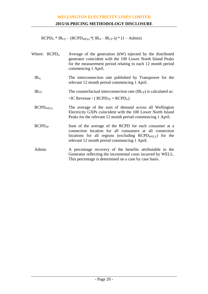# **2015/16 PRICING METHODOLOGY DISCLOSURE**

 $RCPD<sub>G</sub> * IR<sub>CF</sub> - (RCPD<sub>WELL</sub> * ( IR<sub>A</sub> - IR<sub>CF</sub> -)) * (1 - Admin)$ 

| Where: $RCPD_G$    | Average of the generation (kW) injected by the distributed<br>generator coincident with the 100 Lower North Island Peaks<br>for the measurement period relating to each 12 month period<br>commencing 1 April.                |
|--------------------|-------------------------------------------------------------------------------------------------------------------------------------------------------------------------------------------------------------------------------|
| IR <sub>A</sub>    | The interconnection rate published by Transpower for the<br>relevant 12 month period commencing 1 April.                                                                                                                      |
| IR <sub>CF</sub>   | The counterfactual interconnection rate $(\text{IR}_{\text{CF}})$ is calculated as:<br>$=IC$ Revenue / ( $RCPD_{TP}$ + $RCPD_G$ )                                                                                             |
| <b>RCPDWELL</b>    | The average of the sum of demand across all Wellington<br>Electricity GXPs coincident with the 100 Lower North Island<br>Peaks for the relevant 12 month period commencing 1 April.                                           |
| RCPD <sub>TP</sub> | Sum of the average of the RCPD for each consumer at a<br>connection location for all consumers at all connection<br>locations for all regions (excluding $RCPDWELL$ ) for the<br>relevant 12 month period commencing 1 April. |
| Admin              | A percentage recovery of the benefits attributable to the<br>Generator reflecting the incremental costs incurred by WELL.<br>This percentage is determined on a case by case basis.                                           |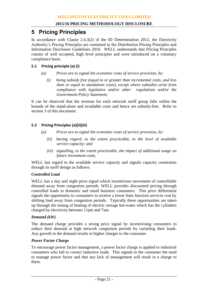# **5 Pricing Principles**

In accordance with Clause 2.4.3(2) of the ID Determination 2012, the Electricity Authority's Pricing Principles are contained in the Distribution Pricing Principles and Information Disclosure Guidelines 2010. WELL understands that Pricing Principles consist of well accepted, high level principles and were introduced on a voluntary compliance basis.

# **5.1 Pricing principle (a) (i)**

- *(a) Prices are to signal the economic costs of service provision, by:*
	- *(i) being subsidy free (equal to or greater than incremental costs, and less than or equal to standalone costs), except where subsidies arise from compliance with legislative and/or other regulations and/or the Government Policy Statement;*

It can be observed that the revenue for each network tariff group falls within the bounds of the stand-alone and avoidable costs and hence are subsidy-free. Refer to section [3](#page-15-0) of this document.

# **5.2 Pricing Principles (a)(ii)(iii)**

- *(a) Prices are to signal the economic costs of service provision, by:*
	- *(ii) having regard, to the extent practicable, to the level of available service capacity; and*
	- *(iii) signalling, to the extent practicable, the impact of additional usage on future investment costs.*

WELL has regard to the available service capacity and signals capacity constraints through its tariff design as follows:

# *Controlled Load*

WELL has a day and night price signal which incentivises movement of controllable demand away from congestion periods. WELL provides discounted pricing through controlled loads to domestic and small business consumers. This price differential signals the opportunity to consumers to receive a lower lines function services cost by shifting load away from congestion periods. Typically these opportunities are taken up through the timing of heating of electric storage hot-water which has the cylinders charged by electricity between 11pm and 7am.

#### *Demand (kW)*

The demand charge provides a strong price signal by incentivising consumers to reduce their demand at high network congestion periods by curtailing their loads. Any growth in the demand results in higher charges to the consumer.

## *Power Factor Charge*

To encourage power factor management, a power factor charge is applied to industrial consumers who fail to correct inductive loads. This signals to the consumer the need to manage power factor and that any lack of management will result in a charge to them.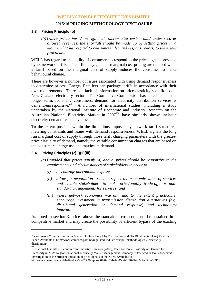#### **5.3 Pricing Principle (b)**

*(b) Where prices based on 'efficient' incremental costs would under-recover allowed revenues, the shortfall should be made up by setting prices in a manner that has regard to consumers' demand responsiveness, to the extent practicable.*

WELL has regard to the ability of consumers to respond to the price signals provided by its network tariffs. The efficiency gains of marginal cost pricing are realised when a tariff based on the marginal cost of supply induces the consumer to make behavioural change.

There are however a number of issues associated with using demand responsiveness to determine prices. Energy Retailers can package tariffs in accordance with their own requirements. There is a lack of information on price elasticity specific to the New Zealand electricity sector. The Commerce Commission has noted that in the longer term, for many consumers, demand for electricity distribution services is demand-unresponsive.<sup>24</sup> A number of international studies, including a study undertaken by the National Institute of Economic and Industry Research on the Australian National Electricity Market in 2007 <sup>25</sup>, have similarly shown inelastic electricity demand responsiveness.

To the extent possible within the limitations imposed by network tariff structures, metering constraints and issues with demand responsiveness, WELL signals the long run marginal cost of supply through those tariff charging parameters with the greatest price elasticity of demand, namely the variable consumption charges that are based on the consumers energy use and maximum demand.

#### **5.4 Pricing Principles (c)(i)(ii)(iii)**

 $\overline{a}$ 

- *(c) Provided that prices satisfy (a) above, prices should be responsive to the requirements and circumstances of stakeholders in order to:*
	- *(i) discourage uneconomic bypass;*
	- *(ii) allow for negotiation to better reflect the economic value of services and enable stakeholders to make price/quality trade-offs or nonstandard arrangements for services; and*
	- *(iii) where network economics warrant, and to the extent practicable, encourage investment in transmission distribution alternatives (e.g. distributed generation or demand response) and technology innovation.*

As noted in section [3,](#page-15-0) prices above the standalone cost could not be sustained in a competitive market and may create the possibility of efficient bypass of the existing

http://www.aemc.gov.au/Media/docs/PwC%20report-f0fa0217-1e1e-45d4-8f76-4b9b6cbac5de-0.PDF

<sup>&</sup>lt;sup>24</sup> Commerce Commission, Input Methodologies (Electricity Distribution and Gas Pipeline Services) Reasons Paper. Available at http://www.comcom.govt.nz/regulated-industries/input-methodologies-2/electricitydistribution/

<sup>25</sup> National Institute of Economic and Industry Research (2007), The Own Price Elasticity of Demand for Electricity in NEM Regions, National Electricity Market Management Company; referenced in PWC document, Investigation of the efficient operation of price signals in the NEM. Available at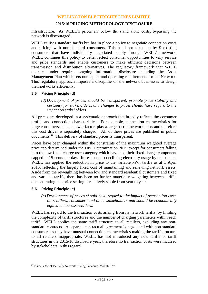infrastructure. As WELL's prices are below the stand alone costs, bypassing the network is discouraged.

WELL utilises standard tariffs but has in place a policy to negotiate connection costs and pricing with non-standard consumers. This has been taken up by 9 existing consumers that have individually negotiated supply through WELL's network. WELL continues this policy to better reflect consumer opportunities to vary service and price standards and enable customers to make efficient decisions between transmission and distribution alternatives. The regulatory framework that WELL operates under requires ongoing information disclosure including the Asset Management Plan which sets out capital and operating requirements for the Network. This regulatory approach imposes a discipline on the network businesses to design their networks efficiently.

# **5.5 Pricing Principle (d)**

*(d) Development of prices should be transparent, promote price stability and certainty for stakeholders, and changes to prices should have regard to the impact on stakeholders.*

All prices are developed in a systematic approach that broadly reflects the consumer profile and connection characteristics. For example, connection characteristics for large consumers such as power factor, play a large part in network costs and therefore this cost driver is separately charged. All of these prices are published in public documents.<sup>26</sup> This delivery of standard prices is transparent.

Prices have been changed within the constraints of the maximum weighted average price cap determined under the DPP Determination 2015 except for consumers falling into the low fixed charge user category which have had their fixed charge component capped at 15 cents per day. In response to declining electricity usage by consumers, WELL has applied the reduction in price to the variable kWh tariffs as at 1 April 2015, reflecting the largely fixed cost of maintaining and renewing network assets. Aside from the reweighting between low and standard residential customers and fixed and variable tariffs, there has been no further material reweighting between tariffs, demonstrating that price setting is relatively stable from year to year.

#### **5.6 Pricing Principle (e)**

 $\overline{a}$ 

*(e) Development of prices should have regard to the impact of transaction costs on retailers, consumers and other stakeholders and should be economically equivalent across retailers.*

WELL has regard to the transaction costs arising from its network tariffs, by limiting the complexity of tariff structures and the number of charging parameters within each tariff. WELL applies the same tariff structure to all retailers, excluding any nonstandard contracts. A separate contractual agreement is negotiated with non-standard consumers as they have unusual connection characteristics making the tariff structure to all retailers inappropriate. WELL has not introduced any new tariffs or tariff structures in the 2015/16 disclosure year, therefore no transaction costs were incurred by stakeholders in this regard.

<sup>&</sup>lt;sup>26</sup> Namely the "Electricity Network Pricing Schedule, Module 15"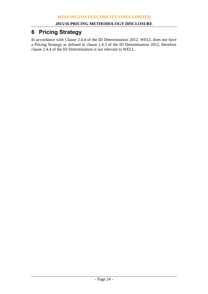# **6 Pricing Strategy**

In accordance with Clause 2.4.4 of the ID Determination 2012, WELL does not have a Pricing Strategy as defined in clause 1.4.3 of the ID Determination 2012, therefore clause 2.4.4 of the ID Determination is not relevant to WELL.